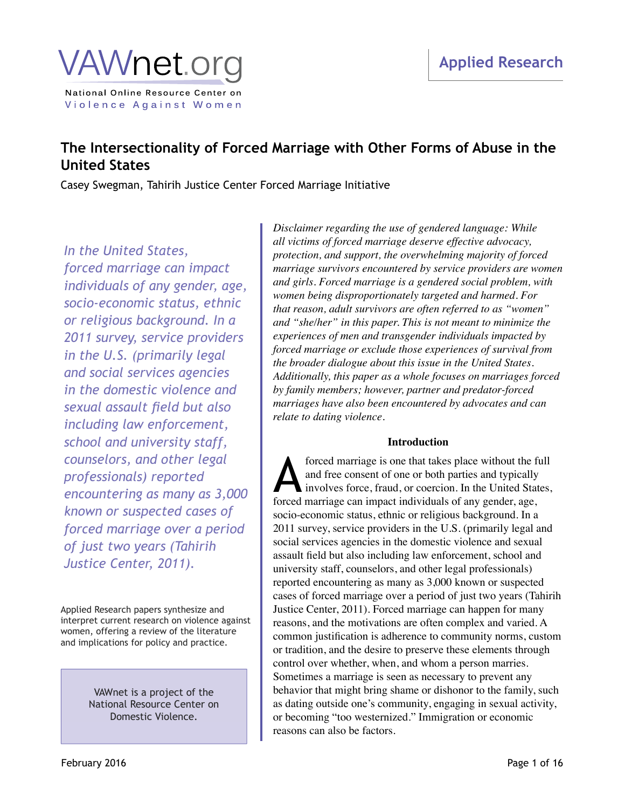## **VAWnet.ord** National Online Resource Center on

Violence Against Women

### **The Intersectionality of Forced Marriage with Other Forms of Abuse in the United States**

Casey Swegman, Tahirih Justice Center Forced Marriage Initiative

### *In the United States,*

*forced marriage can impact individuals of any gender, age, socio-economic status, ethnic or religious background. In a 2011 survey, service providers in the U.S. (primarily legal and social services agencies in the domestic violence and sexual assault field but also including law enforcement, school and university staff, counselors, and other legal professionals) reported encountering as many as 3,000 known or suspected cases of forced marriage over a period of just two years (Tahirih Justice Center, 2011).*

Applied Research papers synthesize and interpret current research on violence against women, offering a review of the literature and implications for policy and practice.

> VAWnet is a project of the National Resource Center on Domestic Violence.

*Disclaimer regarding the use of gendered language: While all victims of forced marriage deserve effective advocacy, protection, and support, the overwhelming majority of forced marriage survivors encountered by service providers are women and girls. Forced marriage is a gendered social problem, with women being disproportionately targeted and harmed. For that reason, adult survivors are often referred to as "women" and "she/her" in this paper. This is not meant to minimize the experiences of men and transgender individuals impacted by forced marriage or exclude those experiences of survival from the broader dialogue about this issue in the United States. Additionally, this paper as a whole focuses on marriages forced by family members; however, partner and predator-forced marriages have also been encountered by advocates and can relate to dating violence.*

#### **Introduction**

forced marriage is one that takes place without the full and free consent of one or both parties and typically involves force, fraud, or coercion. In the United States, forced marriage is one that takes place without the fi and free consent of one or both parties and typically involves force, fraud, or coercion. In the United Stat forced marriage can impact individuals of any gender, age, socio-economic status, ethnic or religious background. In a 2011 survey, service providers in the U.S. (primarily legal and social services agencies in the domestic violence and sexual assault field but also including law enforcement, school and university staff, counselors, and other legal professionals) reported encountering as many as 3,000 known or suspected cases of forced marriage over a period of just two years (Tahirih Justice Center, 2011). Forced marriage can happen for many reasons, and the motivations are often complex and varied. A common justification is adherence to community norms, custom or tradition, and the desire to preserve these elements through control over whether, when, and whom a person marries. Sometimes a marriage is seen as necessary to prevent any behavior that might bring shame or dishonor to the family, such as dating outside one's community, engaging in sexual activity, or becoming "too westernized." Immigration or economic reasons can also be factors.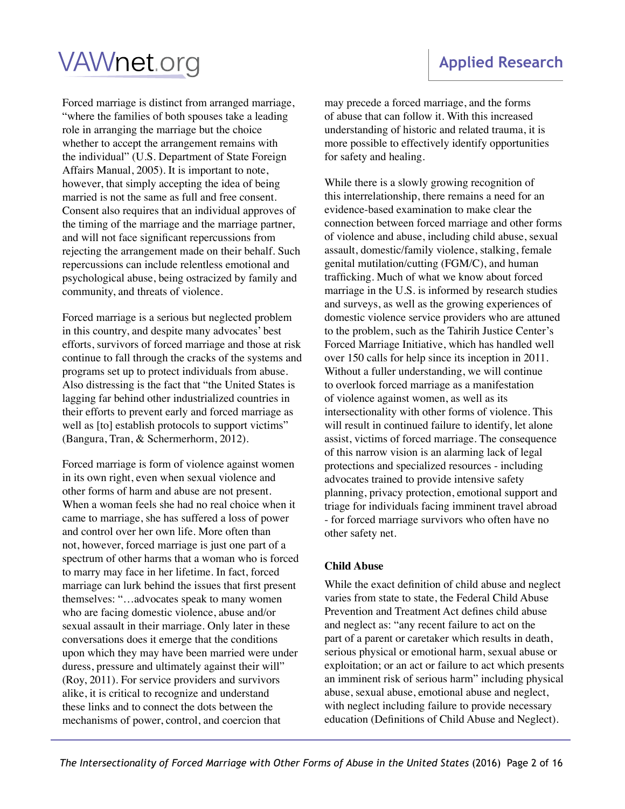Forced marriage is distinct from arranged marriage, "where the families of both spouses take a leading role in arranging the marriage but the choice whether to accept the arrangement remains with the individual" (U.S. Department of State Foreign Affairs Manual, 2005). It is important to note, however, that simply accepting the idea of being married is not the same as full and free consent. Consent also requires that an individual approves of the timing of the marriage and the marriage partner, and will not face significant repercussions from rejecting the arrangement made on their behalf. Such repercussions can include relentless emotional and psychological abuse, being ostracized by family and community, and threats of violence.

Forced marriage is a serious but neglected problem in this country, and despite many advocates' best efforts, survivors of forced marriage and those at risk continue to fall through the cracks of the systems and programs set up to protect individuals from abuse. Also distressing is the fact that "the United States is lagging far behind other industrialized countries in their efforts to prevent early and forced marriage as well as [to] establish protocols to support victims" (Bangura, Tran, & Schermerhorm, 2012).

Forced marriage is form of violence against women in its own right, even when sexual violence and other forms of harm and abuse are not present. When a woman feels she had no real choice when it came to marriage, she has suffered a loss of power and control over her own life. More often than not, however, forced marriage is just one part of a spectrum of other harms that a woman who is forced to marry may face in her lifetime. In fact, forced marriage can lurk behind the issues that first present themselves: "…advocates speak to many women who are facing domestic violence, abuse and/or sexual assault in their marriage. Only later in these conversations does it emerge that the conditions upon which they may have been married were under duress, pressure and ultimately against their will" (Roy, 2011). For service providers and survivors alike, it is critical to recognize and understand these links and to connect the dots between the mechanisms of power, control, and coercion that

**Applied Research**

may precede a forced marriage, and the forms of abuse that can follow it. With this increased understanding of historic and related trauma, it is more possible to effectively identify opportunities for safety and healing.

While there is a slowly growing recognition of this interrelationship, there remains a need for an evidence-based examination to make clear the connection between forced marriage and other forms of violence and abuse, including child abuse, sexual assault, domestic/family violence, stalking, female genital mutilation/cutting (FGM/C), and human trafficking. Much of what we know about forced marriage in the U.S. is informed by research studies and surveys, as well as the growing experiences of domestic violence service providers who are attuned to the problem, such as the Tahirih Justice Center's Forced Marriage Initiative, which has handled well over 150 calls for help since its inception in 2011. Without a fuller understanding, we will continue to overlook forced marriage as a manifestation of violence against women, as well as its intersectionality with other forms of violence. This will result in continued failure to identify, let alone assist, victims of forced marriage. The consequence of this narrow vision is an alarming lack of legal protections and specialized resources - including advocates trained to provide intensive safety planning, privacy protection, emotional support and triage for individuals facing imminent travel abroad - for forced marriage survivors who often have no other safety net.

#### **Child Abuse**

While the exact definition of child abuse and neglect varies from state to state, the Federal Child Abuse Prevention and Treatment Act defines child abuse and neglect as: "any recent failure to act on the part of a parent or caretaker which results in death, serious physical or emotional harm, sexual abuse or exploitation; or an act or failure to act which presents an imminent risk of serious harm" including physical abuse, sexual abuse, emotional abuse and neglect, with neglect including failure to provide necessary education (Definitions of Child Abuse and Neglect).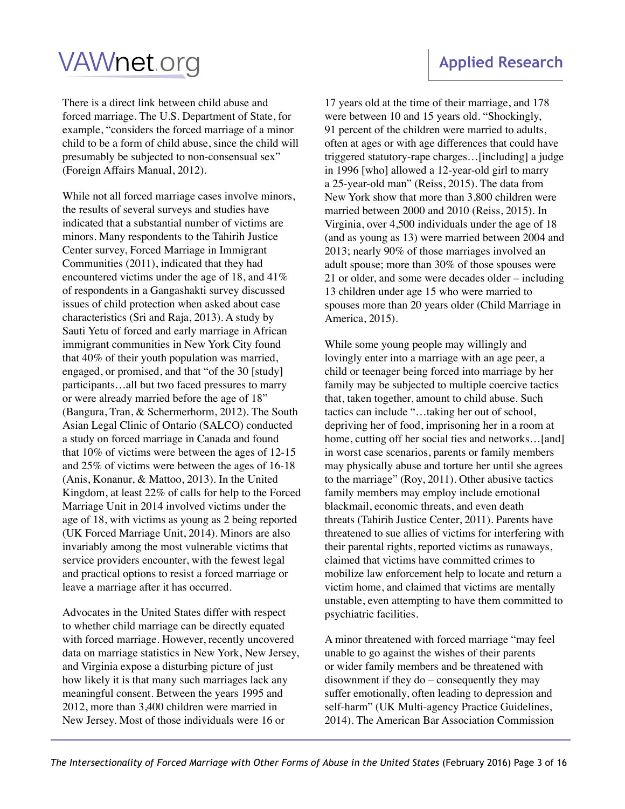There is a direct link between child abuse and forced marriage. The U.S. Department of State, for example, "considers the forced marriage of a minor child to be a form of child abuse, since the child will presumably be subjected to non-consensual sex" (Foreign Affairs Manual, 2012).

While not all forced marriage cases involve minors, the results of several surveys and studies have indicated that a substantial number of victims are minors. Many respondents to the Tahirih Justice Center survey, Forced Marriage in Immigrant Communities (2011), indicated that they had encountered victims under the age of 18, and 41% of respondents in a Gangashakti survey discussed issues of child protection when asked about case characteristics (Sri and Raja, 2013). A study by Sauti Yetu of forced and early marriage in African immigrant communities in New York City found that 40% of their youth population was married, engaged, or promised, and that "of the 30 [study] participants…all but two faced pressures to marry or were already married before the age of 18" (Bangura, Tran, & Schermerhorm, 2012). The South Asian Legal Clinic of Ontario (SALCO) conducted a study on forced marriage in Canada and found that 10% of victims were between the ages of 12-15 and 25% of victims were between the ages of 16-18 (Anis, Konanur, & Mattoo, 2013). In the United Kingdom, at least 22% of calls for help to the Forced Marriage Unit in 2014 involved victims under the age of 18, with victims as young as 2 being reported (UK Forced Marriage Unit, 2014). Minors are also invariably among the most vulnerable victims that service providers encounter, with the fewest legal and practical options to resist a forced marriage or leave a marriage after it has occurred.

Advocates in the United States differ with respect to whether child marriage can be directly equated with forced marriage. However, recently uncovered data on marriage statistics in New York, New Jersey, and Virginia expose a disturbing picture of just how likely it is that many such marriages lack any meaningful consent. Between the years 1995 and 2012, more than 3,400 children were married in New Jersey. Most of those individuals were 16 or

### 17 years old at the time of their marriage, and 178 were between 10 and 15 years old. "Shockingly, 91 percent of the children were married to adults, often at ages or with age differences that could have triggered statutory-rape charges…[including] a judge in 1996 [who] allowed a 12-year-old girl to marry a 25-year-old man" (Reiss, 2015). The data from New York show that more than 3,800 children were married between 2000 and 2010 (Reiss, 2015). In Virginia, over 4,500 individuals under the age of 18 (and as young as 13) were married between 2004 and 2013; nearly 90% of those marriages involved an adult spouse; more than 30% of those spouses were 21 or older, and some were decades older – including

13 children under age 15 who were married to spouses more than 20 years older (Child Marriage in America, 2015).

While some young people may willingly and lovingly enter into a marriage with an age peer, a child or teenager being forced into marriage by her family may be subjected to multiple coercive tactics that, taken together, amount to child abuse. Such tactics can include "…taking her out of school, depriving her of food, imprisoning her in a room at home, cutting off her social ties and networks...[and] in worst case scenarios, parents or family members may physically abuse and torture her until she agrees to the marriage" (Roy, 2011). Other abusive tactics family members may employ include emotional blackmail, economic threats, and even death threats (Tahirih Justice Center, 2011). Parents have threatened to sue allies of victims for interfering with their parental rights, reported victims as runaways, claimed that victims have committed crimes to mobilize law enforcement help to locate and return a victim home, and claimed that victims are mentally unstable, even attempting to have them committed to psychiatric facilities.

A minor threatened with forced marriage "may feel unable to go against the wishes of their parents or wider family members and be threatened with disownment if they do – consequently they may suffer emotionally, often leading to depression and self-harm" (UK Multi-agency Practice Guidelines, 2014). The American Bar Association Commission

### **Applied Research**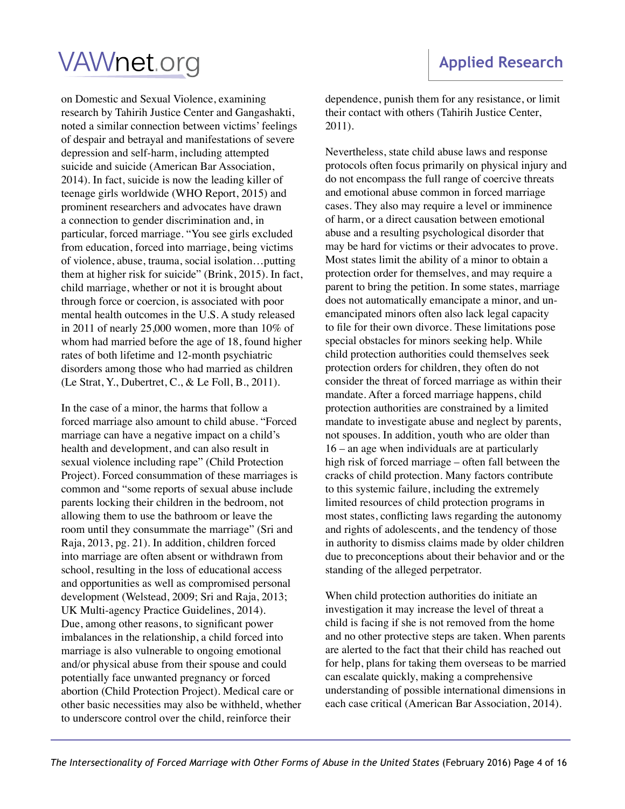on Domestic and Sexual Violence, examining research by Tahirih Justice Center and Gangashakti, noted a similar connection between victims' feelings of despair and betrayal and manifestations of severe depression and self-harm, including attempted suicide and suicide (American Bar Association, 2014). In fact, suicide is now the leading killer of teenage girls worldwide (WHO Report, 2015) and prominent researchers and advocates have drawn a connection to gender discrimination and, in particular, forced marriage. "You see girls excluded from education, forced into marriage, being victims of violence, abuse, trauma, social isolation…putting them at higher risk for suicide" (Brink, 2015). In fact, child marriage, whether or not it is brought about through force or coercion, is associated with poor mental health outcomes in the U.S. A study released in 2011 of nearly 25,000 women, more than 10% of whom had married before the age of 18, found higher rates of both lifetime and 12-month psychiatric disorders among those who had married as children (Le Strat, Y., Dubertret, C., & Le Foll, B., 2011).

In the case of a minor, the harms that follow a forced marriage also amount to child abuse. "Forced marriage can have a negative impact on a child's health and development, and can also result in sexual violence including rape" (Child Protection Project). Forced consummation of these marriages is common and "some reports of sexual abuse include parents locking their children in the bedroom, not allowing them to use the bathroom or leave the room until they consummate the marriage" (Sri and Raja, 2013, pg. 21). In addition, children forced into marriage are often absent or withdrawn from school, resulting in the loss of educational access and opportunities as well as compromised personal development (Welstead, 2009; Sri and Raja, 2013; UK Multi-agency Practice Guidelines, 2014). Due, among other reasons, to significant power imbalances in the relationship, a child forced into marriage is also vulnerable to ongoing emotional and/or physical abuse from their spouse and could potentially face unwanted pregnancy or forced abortion (Child Protection Project). Medical care or other basic necessities may also be withheld, whether to underscore control over the child, reinforce their

dependence, punish them for any resistance, or limit their contact with others (Tahirih Justice Center, 2011).

Nevertheless, state child abuse laws and response protocols often focus primarily on physical injury and do not encompass the full range of coercive threats and emotional abuse common in forced marriage cases. They also may require a level or imminence of harm, or a direct causation between emotional abuse and a resulting psychological disorder that may be hard for victims or their advocates to prove. Most states limit the ability of a minor to obtain a protection order for themselves, and may require a parent to bring the petition. In some states, marriage does not automatically emancipate a minor, and unemancipated minors often also lack legal capacity to file for their own divorce. These limitations pose special obstacles for minors seeking help. While child protection authorities could themselves seek protection orders for children, they often do not consider the threat of forced marriage as within their mandate. After a forced marriage happens, child protection authorities are constrained by a limited mandate to investigate abuse and neglect by parents, not spouses. In addition, youth who are older than 16 – an age when individuals are at particularly high risk of forced marriage – often fall between the cracks of child protection. Many factors contribute to this systemic failure, including the extremely limited resources of child protection programs in most states, conflicting laws regarding the autonomy and rights of adolescents, and the tendency of those in authority to dismiss claims made by older children due to preconceptions about their behavior and or the standing of the alleged perpetrator.

When child protection authorities do initiate an investigation it may increase the level of threat a child is facing if she is not removed from the home and no other protective steps are taken. When parents are alerted to the fact that their child has reached out for help, plans for taking them overseas to be married can escalate quickly, making a comprehensive understanding of possible international dimensions in each case critical (American Bar Association, 2014).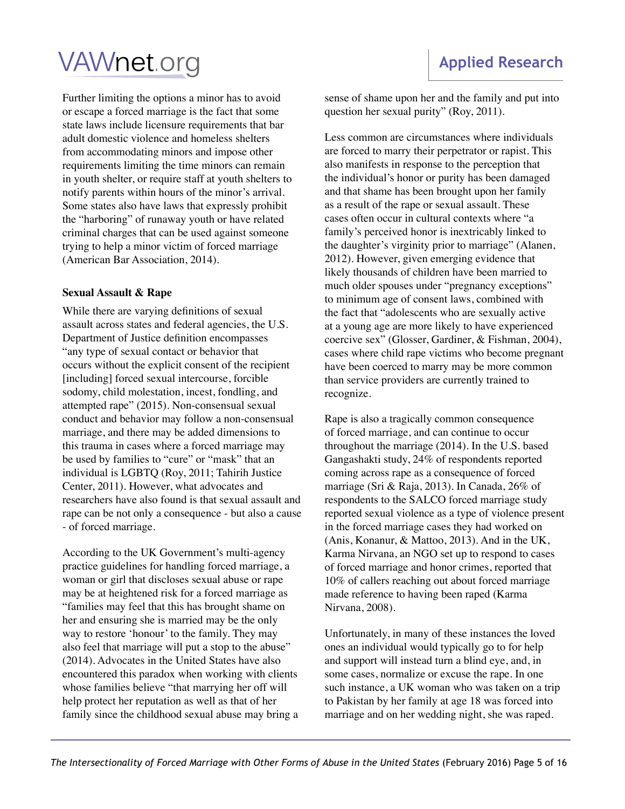Further limiting the options a minor has to avoid or escape a forced marriage is the fact that some state laws include licensure requirements that bar adult domestic violence and homeless shelters from accommodating minors and impose other requirements limiting the time minors can remain in youth shelter, or require staff at youth shelters to notify parents within hours of the minor's arrival. Some states also have laws that expressly prohibit the "harboring" of runaway youth or have related criminal charges that can be used against someone trying to help a minor victim of forced marriage (American Bar Association, 2014).

#### **Sexual Assault & Rape**

While there are varying definitions of sexual assault across states and federal agencies, the U.S. Department of Justice definition encompasses "any type of sexual contact or behavior that occurs without the explicit consent of the recipient [including] forced sexual intercourse, forcible sodomy, child molestation, incest, fondling, and attempted rape" (2015). Non-consensual sexual conduct and behavior may follow a non-consensual marriage, and there may be added dimensions to this trauma in cases where a forced marriage may be used by families to "cure" or "mask" that an individual is LGBTQ (Roy, 2011; Tahirih Justice Center, 2011). However, what advocates and researchers have also found is that sexual assault and rape can be not only a consequence - but also a cause - of forced marriage.

According to the UK Government's multi-agency practice guidelines for handling forced marriage, a woman or girl that discloses sexual abuse or rape may be at heightened risk for a forced marriage as "families may feel that this has brought shame on her and ensuring she is married may be the only way to restore 'honour' to the family. They may also feel that marriage will put a stop to the abuse" (2014). Advocates in the United States have also encountered this paradox when working with clients whose families believe "that marrying her off will help protect her reputation as well as that of her family since the childhood sexual abuse may bring a sense of shame upon her and the family and put into question her sexual purity" (Roy, 2011).

Less common are circumstances where individuals are forced to marry their perpetrator or rapist. This also manifests in response to the perception that the individual's honor or purity has been damaged and that shame has been brought upon her family as a result of the rape or sexual assault. These cases often occur in cultural contexts where "a family's perceived honor is inextricably linked to the daughter's virginity prior to marriage" (Alanen, 2012). However, given emerging evidence that likely thousands of children have been married to much older spouses under "pregnancy exceptions" to minimum age of consent laws, combined with the fact that "adolescents who are sexually active at a young age are more likely to have experienced coercive sex" (Glosser, Gardiner, & Fishman, 2004), cases where child rape victims who become pregnant have been coerced to marry may be more common than service providers are currently trained to recognize.

Rape is also a tragically common consequence of forced marriage, and can continue to occur throughout the marriage (2014). In the U.S. based Gangashakti study, 24% of respondents reported coming across rape as a consequence of forced marriage (Sri & Raja, 2013). In Canada, 26% of respondents to the SALCO forced marriage study reported sexual violence as a type of violence present in the forced marriage cases they had worked on (Anis, Konanur, & Mattoo, 2013). And in the UK, Karma Nirvana, an NGO set up to respond to cases of forced marriage and honor crimes, reported that 10% of callers reaching out about forced marriage made reference to having been raped (Karma Nirvana, 2008).

Unfortunately, in many of these instances the loved ones an individual would typically go to for help and support will instead turn a blind eye, and, in some cases, normalize or excuse the rape. In one such instance, a UK woman who was taken on a trip to Pakistan by her family at age 18 was forced into marriage and on her wedding night, she was raped.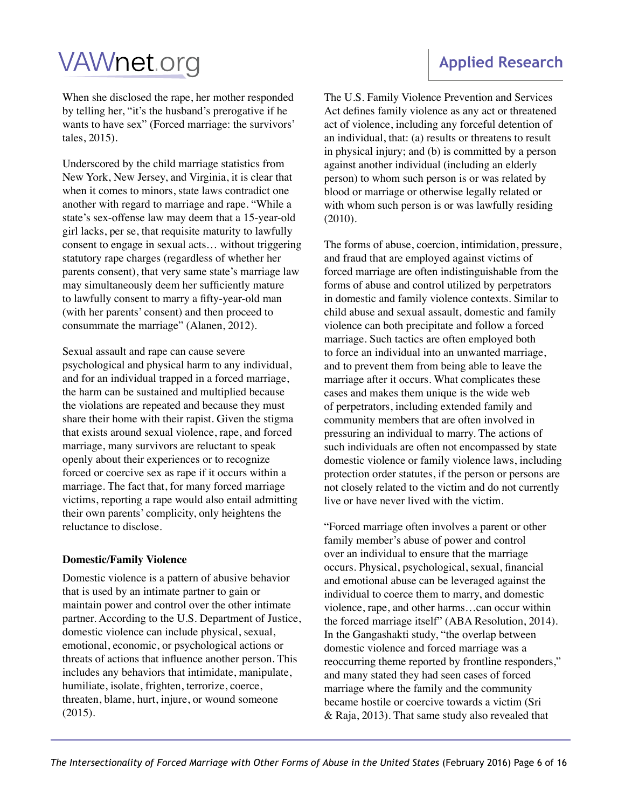When she disclosed the rape, her mother responded by telling her, "it's the husband's prerogative if he wants to have sex" (Forced marriage: the survivors' tales, 2015).

Underscored by the child marriage statistics from New York, New Jersey, and Virginia, it is clear that when it comes to minors, state laws contradict one another with regard to marriage and rape. "While a state's sex-offense law may deem that a 15-year-old girl lacks, per se, that requisite maturity to lawfully consent to engage in sexual acts… without triggering statutory rape charges (regardless of whether her parents consent), that very same state's marriage law may simultaneously deem her sufficiently mature to lawfully consent to marry a fifty-year-old man (with her parents' consent) and then proceed to consummate the marriage" (Alanen, 2012).

Sexual assault and rape can cause severe psychological and physical harm to any individual, and for an individual trapped in a forced marriage, the harm can be sustained and multiplied because the violations are repeated and because they must share their home with their rapist. Given the stigma that exists around sexual violence, rape, and forced marriage, many survivors are reluctant to speak openly about their experiences or to recognize forced or coercive sex as rape if it occurs within a marriage. The fact that, for many forced marriage victims, reporting a rape would also entail admitting their own parents' complicity, only heightens the reluctance to disclose.

#### **Domestic/Family Violence**

Domestic violence is a pattern of abusive behavior that is used by an intimate partner to gain or maintain power and control over the other intimate partner. According to the U.S. Department of Justice, domestic violence can include physical, sexual, emotional, economic, or psychological actions or threats of actions that influence another person. This includes any behaviors that intimidate, manipulate, humiliate, isolate, frighten, terrorize, coerce, threaten, blame, hurt, injure, or wound someone (2015).

### **Applied Research**

The U.S. Family Violence Prevention and Services Act defines family violence as any act or threatened act of violence, including any forceful detention of an individual, that: (a) results or threatens to result in physical injury; and (b) is committed by a person against another individual (including an elderly person) to whom such person is or was related by blood or marriage or otherwise legally related or with whom such person is or was lawfully residing (2010).

The forms of abuse, coercion, intimidation, pressure, and fraud that are employed against victims of forced marriage are often indistinguishable from the forms of abuse and control utilized by perpetrators in domestic and family violence contexts. Similar to child abuse and sexual assault, domestic and family violence can both precipitate and follow a forced marriage. Such tactics are often employed both to force an individual into an unwanted marriage, and to prevent them from being able to leave the marriage after it occurs. What complicates these cases and makes them unique is the wide web of perpetrators, including extended family and community members that are often involved in pressuring an individual to marry. The actions of such individuals are often not encompassed by state domestic violence or family violence laws, including protection order statutes, if the person or persons are not closely related to the victim and do not currently live or have never lived with the victim.

"Forced marriage often involves a parent or other family member's abuse of power and control over an individual to ensure that the marriage occurs. Physical, psychological, sexual, financial and emotional abuse can be leveraged against the individual to coerce them to marry, and domestic violence, rape, and other harms…can occur within the forced marriage itself" (ABA Resolution, 2014). In the Gangashakti study, "the overlap between domestic violence and forced marriage was a reoccurring theme reported by frontline responders," and many stated they had seen cases of forced marriage where the family and the community became hostile or coercive towards a victim (Sri & Raja, 2013). That same study also revealed that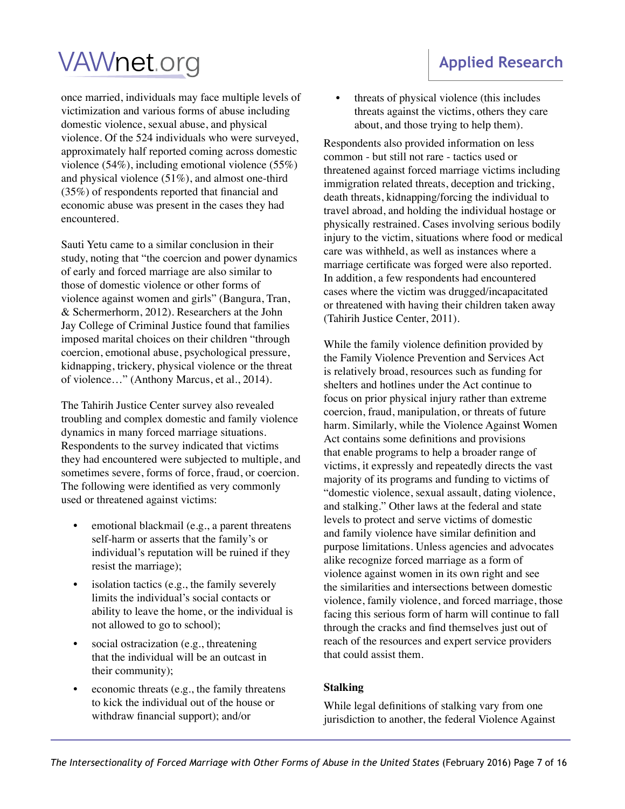encountered.

once married, individuals may face multiple levels of victimization and various forms of abuse including domestic violence, sexual abuse, and physical violence. Of the 524 individuals who were surveyed, approximately half reported coming across domestic violence (54%), including emotional violence (55%) and physical violence (51%), and almost one-third (35%) of respondents reported that financial and economic abuse was present in the cases they had

Sauti Yetu came to a similar conclusion in their study, noting that "the coercion and power dynamics of early and forced marriage are also similar to those of domestic violence or other forms of violence against women and girls" (Bangura, Tran, & Schermerhorm, 2012). Researchers at the John Jay College of Criminal Justice found that families imposed marital choices on their children "through coercion, emotional abuse, psychological pressure, kidnapping, trickery, physical violence or the threat of violence…" (Anthony Marcus, et al., 2014).

The Tahirih Justice Center survey also revealed troubling and complex domestic and family violence dynamics in many forced marriage situations. Respondents to the survey indicated that victims they had encountered were subjected to multiple, and sometimes severe, forms of force, fraud, or coercion. The following were identified as very commonly used or threatened against victims:

- emotional blackmail (e.g., a parent threatens self-harm or asserts that the family's or individual's reputation will be ruined if they resist the marriage);
- isolation tactics (e.g., the family severely limits the individual's social contacts or ability to leave the home, or the individual is not allowed to go to school);
- social ostracization (e.g., threatening that the individual will be an outcast in their community);
- economic threats (e.g., the family threatens to kick the individual out of the house or withdraw financial support); and/or

• threats of physical violence (this includes threats against the victims, others they care about, and those trying to help them).

Respondents also provided information on less common - but still not rare - tactics used or threatened against forced marriage victims including immigration related threats, deception and tricking, death threats, kidnapping/forcing the individual to travel abroad, and holding the individual hostage or physically restrained. Cases involving serious bodily injury to the victim, situations where food or medical care was withheld, as well as instances where a marriage certificate was forged were also reported. In addition, a few respondents had encountered cases where the victim was drugged/incapacitated or threatened with having their children taken away (Tahirih Justice Center, 2011).

While the family violence definition provided by the Family Violence Prevention and Services Act is relatively broad, resources such as funding for shelters and hotlines under the Act continue to focus on prior physical injury rather than extreme coercion, fraud, manipulation, or threats of future harm. Similarly, while the Violence Against Women Act contains some definitions and provisions that enable programs to help a broader range of victims, it expressly and repeatedly directs the vast majority of its programs and funding to victims of "domestic violence, sexual assault, dating violence, and stalking." Other laws at the federal and state levels to protect and serve victims of domestic and family violence have similar definition and purpose limitations. Unless agencies and advocates alike recognize forced marriage as a form of violence against women in its own right and see the similarities and intersections between domestic violence, family violence, and forced marriage, those facing this serious form of harm will continue to fall through the cracks and find themselves just out of reach of the resources and expert service providers that could assist them.

### **Stalking**

While legal definitions of stalking vary from one jurisdiction to another, the federal Violence Against

### **Applied Research**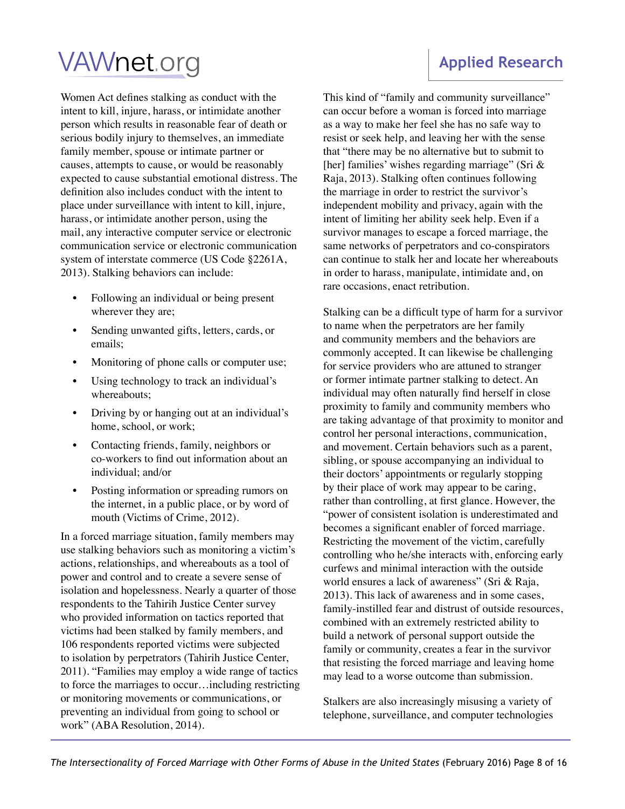Women Act defines stalking as conduct with the intent to kill, injure, harass, or intimidate another person which results in reasonable fear of death or serious bodily injury to themselves, an immediate family member, spouse or intimate partner or causes, attempts to cause, or would be reasonably expected to cause substantial emotional distress. The definition also includes conduct with the intent to place under surveillance with intent to kill, injure, harass, or intimidate another person, using the mail, any interactive computer service or electronic communication service or electronic communication system of interstate commerce (US Code §2261A, 2013). Stalking behaviors can include:

- Following an individual or being present wherever they are;
- Sending unwanted gifts, letters, cards, or emails;
- Monitoring of phone calls or computer use;
- Using technology to track an individual's whereabouts;
- Driving by or hanging out at an individual's home, school, or work;
- Contacting friends, family, neighbors or co-workers to find out information about an individual; and/or
- Posting information or spreading rumors on the internet, in a public place, or by word of mouth (Victims of Crime, 2012).

In a forced marriage situation, family members may use stalking behaviors such as monitoring a victim's actions, relationships, and whereabouts as a tool of power and control and to create a severe sense of isolation and hopelessness. Nearly a quarter of those respondents to the Tahirih Justice Center survey who provided information on tactics reported that victims had been stalked by family members, and 106 respondents reported victims were subjected to isolation by perpetrators (Tahirih Justice Center, 2011). "Families may employ a wide range of tactics to force the marriages to occur…including restricting or monitoring movements or communications, or preventing an individual from going to school or work" (ABA Resolution, 2014).

### This kind of "family and community surveillance" can occur before a woman is forced into marriage as a way to make her feel she has no safe way to resist or seek help, and leaving her with the sense that "there may be no alternative but to submit to [her] families' wishes regarding marriage" (Sri & Raja, 2013). Stalking often continues following the marriage in order to restrict the survivor's independent mobility and privacy, again with the intent of limiting her ability seek help. Even if a survivor manages to escape a forced marriage, the same networks of perpetrators and co-conspirators can continue to stalk her and locate her whereabouts in order to harass, manipulate, intimidate and, on

rare occasions, enact retribution.

Stalking can be a difficult type of harm for a survivor to name when the perpetrators are her family and community members and the behaviors are commonly accepted. It can likewise be challenging for service providers who are attuned to stranger or former intimate partner stalking to detect. An individual may often naturally find herself in close proximity to family and community members who are taking advantage of that proximity to monitor and control her personal interactions, communication, and movement. Certain behaviors such as a parent, sibling, or spouse accompanying an individual to their doctors' appointments or regularly stopping by their place of work may appear to be caring, rather than controlling, at first glance. However, the "power of consistent isolation is underestimated and becomes a significant enabler of forced marriage. Restricting the movement of the victim, carefully controlling who he/she interacts with, enforcing early curfews and minimal interaction with the outside world ensures a lack of awareness" (Sri & Raja, 2013). This lack of awareness and in some cases, family-instilled fear and distrust of outside resources, combined with an extremely restricted ability to build a network of personal support outside the family or community, creates a fear in the survivor that resisting the forced marriage and leaving home may lead to a worse outcome than submission.

Stalkers are also increasingly misusing a variety of telephone, surveillance, and computer technologies

### **Applied Research**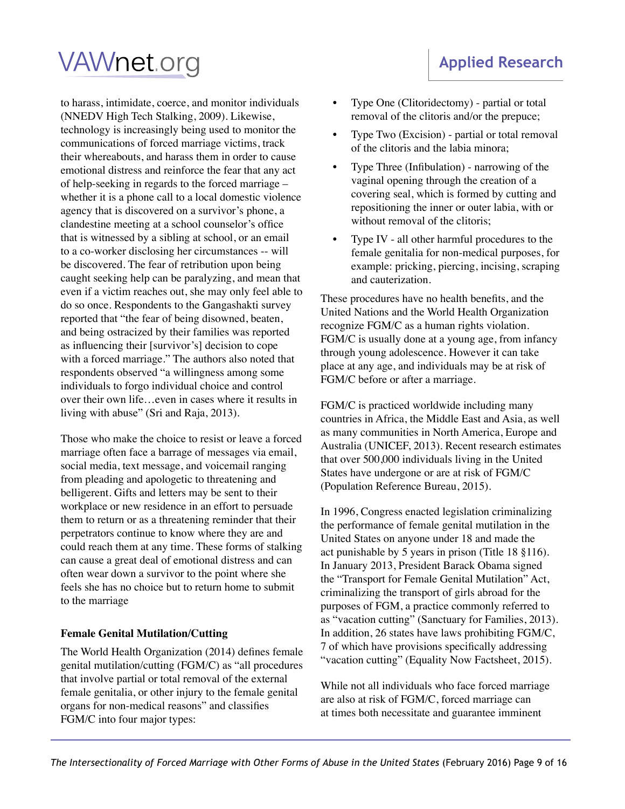### **Applied Research**

## **VAWnet.org**

to harass, intimidate, coerce, and monitor individuals (NNEDV High Tech Stalking, 2009). Likewise, technology is increasingly being used to monitor the communications of forced marriage victims, track their whereabouts, and harass them in order to cause emotional distress and reinforce the fear that any act of help-seeking in regards to the forced marriage – whether it is a phone call to a local domestic violence agency that is discovered on a survivor's phone, a clandestine meeting at a school counselor's office that is witnessed by a sibling at school, or an email to a co-worker disclosing her circumstances -- will be discovered. The fear of retribution upon being caught seeking help can be paralyzing, and mean that even if a victim reaches out, she may only feel able to do so once. Respondents to the Gangashakti survey reported that "the fear of being disowned, beaten, and being ostracized by their families was reported as influencing their [survivor's] decision to cope with a forced marriage." The authors also noted that respondents observed "a willingness among some individuals to forgo individual choice and control over their own life…even in cases where it results in living with abuse" (Sri and Raja, 2013).

Those who make the choice to resist or leave a forced marriage often face a barrage of messages via email, social media, text message, and voicemail ranging from pleading and apologetic to threatening and belligerent. Gifts and letters may be sent to their workplace or new residence in an effort to persuade them to return or as a threatening reminder that their perpetrators continue to know where they are and could reach them at any time. These forms of stalking can cause a great deal of emotional distress and can often wear down a survivor to the point where she feels she has no choice but to return home to submit to the marriage

#### **Female Genital Mutilation/Cutting**

The World Health Organization (2014) defines female genital mutilation/cutting (FGM/C) as "all procedures that involve partial or total removal of the external female genitalia, or other injury to the female genital organs for non-medical reasons" and classifies FGM/C into four major types:

- Type One (Clitoridectomy) partial or total removal of the clitoris and/or the prepuce;
- Type Two (Excision) partial or total removal of the clitoris and the labia minora;
- Type Three (Infibulation) narrowing of the vaginal opening through the creation of a covering seal, which is formed by cutting and repositioning the inner or outer labia, with or without removal of the clitoris:
- Type IV all other harmful procedures to the female genitalia for non-medical purposes, for example: pricking, piercing, incising, scraping and cauterization.

These procedures have no health benefits, and the United Nations and the World Health Organization recognize FGM/C as a human rights violation. FGM/C is usually done at a young age, from infancy through young adolescence. However it can take place at any age, and individuals may be at risk of FGM/C before or after a marriage.

FGM/C is practiced worldwide including many countries in Africa, the Middle East and Asia, as well as many communities in North America, Europe and Australia (UNICEF, 2013). Recent research estimates that over 500,000 individuals living in the United States have undergone or are at risk of FGM/C (Population Reference Bureau, 2015).

In 1996, Congress enacted legislation criminalizing the performance of female genital mutilation in the United States on anyone under 18 and made the act punishable by 5 years in prison (Title 18 §116). In January 2013, President Barack Obama signed the "Transport for Female Genital Mutilation" Act, criminalizing the transport of girls abroad for the purposes of FGM, a practice commonly referred to as "vacation cutting" (Sanctuary for Families, 2013). In addition, 26 states have laws prohibiting FGM/C, 7 of which have provisions specifically addressing "vacation cutting" (Equality Now Factsheet, 2015).

While not all individuals who face forced marriage are also at risk of FGM/C, forced marriage can at times both necessitate and guarantee imminent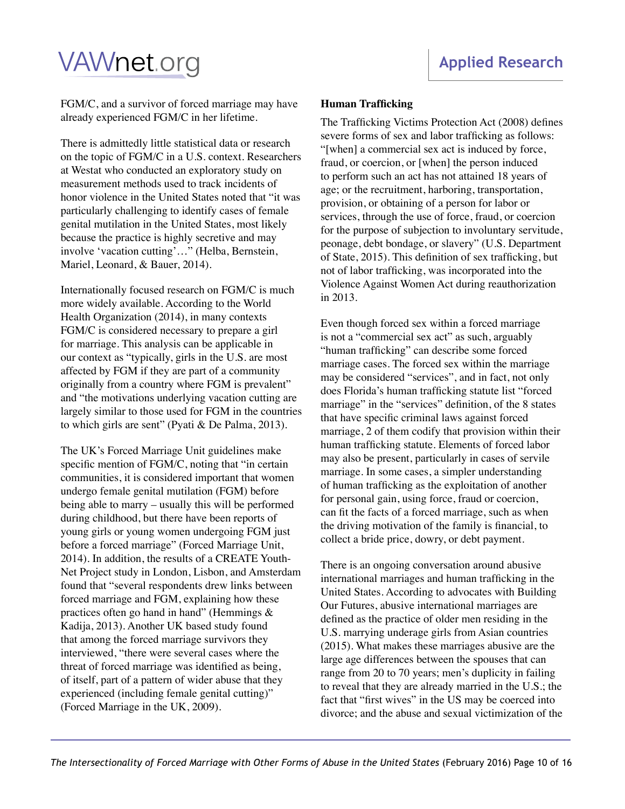FGM/C, and a survivor of forced marriage may have already experienced FGM/C in her lifetime.

There is admittedly little statistical data or research on the topic of FGM/C in a U.S. context. Researchers at Westat who conducted an exploratory study on measurement methods used to track incidents of honor violence in the United States noted that "it was particularly challenging to identify cases of female genital mutilation in the United States, most likely because the practice is highly secretive and may involve 'vacation cutting'…" (Helba, Bernstein, Mariel, Leonard, & Bauer, 2014).

Internationally focused research on FGM/C is much more widely available. According to the World Health Organization (2014), in many contexts FGM/C is considered necessary to prepare a girl for marriage. This analysis can be applicable in our context as "typically, girls in the U.S. are most affected by FGM if they are part of a community originally from a country where FGM is prevalent" and "the motivations underlying vacation cutting are largely similar to those used for FGM in the countries to which girls are sent" (Pyati & De Palma, 2013).

The UK's Forced Marriage Unit guidelines make specific mention of FGM/C, noting that "in certain communities, it is considered important that women undergo female genital mutilation (FGM) before being able to marry – usually this will be performed during childhood, but there have been reports of young girls or young women undergoing FGM just before a forced marriage" (Forced Marriage Unit, 2014). In addition, the results of a CREATE Youth-Net Project study in London, Lisbon, and Amsterdam found that "several respondents drew links between forced marriage and FGM, explaining how these practices often go hand in hand" (Hemmings  $&$ Kadija, 2013). Another UK based study found that among the forced marriage survivors they interviewed, "there were several cases where the threat of forced marriage was identified as being, of itself, part of a pattern of wider abuse that they experienced (including female genital cutting)" (Forced Marriage in the UK, 2009).

### **Human Trafficking**

The Trafficking Victims Protection Act (2008) defines severe forms of sex and labor trafficking as follows: "[when] a commercial sex act is induced by force, fraud, or coercion, or [when] the person induced to perform such an act has not attained 18 years of age; or the recruitment, harboring, transportation, provision, or obtaining of a person for labor or services, through the use of force, fraud, or coercion for the purpose of subjection to involuntary servitude, peonage, debt bondage, or slavery" (U.S. Department of State, 2015). This definition of sex trafficking, but not of labor trafficking, was incorporated into the Violence Against Women Act during reauthorization in 2013.

Even though forced sex within a forced marriage is not a "commercial sex act" as such, arguably "human trafficking" can describe some forced marriage cases. The forced sex within the marriage may be considered "services", and in fact, not only does Florida's human trafficking statute list "forced marriage" in the "services" definition, of the 8 states that have specific criminal laws against forced marriage, 2 of them codify that provision within their human trafficking statute. Elements of forced labor may also be present, particularly in cases of servile marriage. In some cases, a simpler understanding of human trafficking as the exploitation of another for personal gain, using force, fraud or coercion, can fit the facts of a forced marriage, such as when the driving motivation of the family is financial, to collect a bride price, dowry, or debt payment.

There is an ongoing conversation around abusive international marriages and human trafficking in the United States. According to advocates with Building Our Futures, abusive international marriages are defined as the practice of older men residing in the U.S. marrying underage girls from Asian countries (2015). What makes these marriages abusive are the large age differences between the spouses that can range from 20 to 70 years; men's duplicity in failing to reveal that they are already married in the U.S.; the fact that "first wives" in the US may be coerced into divorce; and the abuse and sexual victimization of the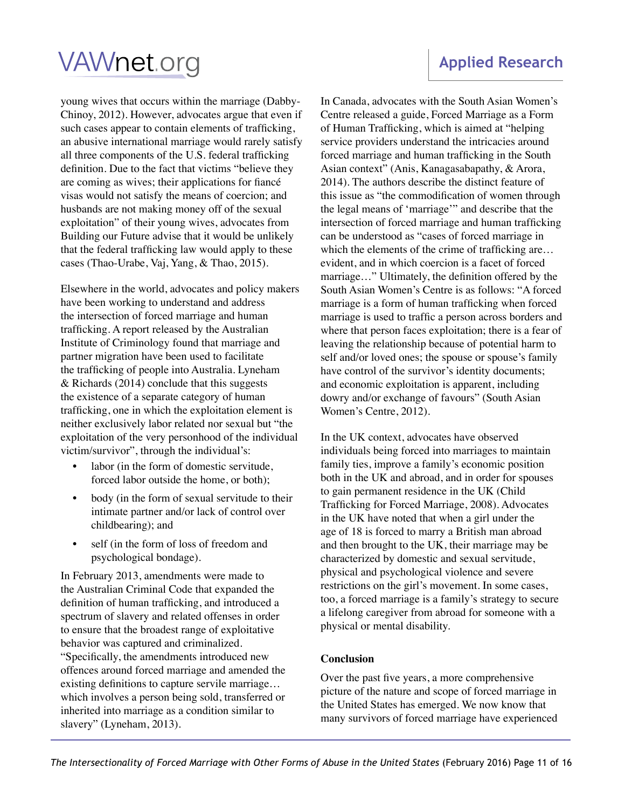young wives that occurs within the marriage (Dabby-Chinoy, 2012). However, advocates argue that even if such cases appear to contain elements of trafficking, an abusive international marriage would rarely satisfy all three components of the U.S. federal trafficking definition. Due to the fact that victims "believe they are coming as wives; their applications for fiancé visas would not satisfy the means of coercion; and husbands are not making money off of the sexual exploitation" of their young wives, advocates from Building our Future advise that it would be unlikely that the federal trafficking law would apply to these cases (Thao-Urabe, Vaj, Yang, & Thao, 2015).

Elsewhere in the world, advocates and policy makers have been working to understand and address the intersection of forced marriage and human trafficking. A report released by the Australian Institute of Criminology found that marriage and partner migration have been used to facilitate the trafficking of people into Australia. Lyneham & Richards (2014) conclude that this suggests the existence of a separate category of human trafficking, one in which the exploitation element is neither exclusively labor related nor sexual but "the exploitation of the very personhood of the individual victim/survivor", through the individual's:

- labor (in the form of domestic servitude, forced labor outside the home, or both);
- body (in the form of sexual servitude to their intimate partner and/or lack of control over childbearing); and
- self (in the form of loss of freedom and psychological bondage).

In February 2013, amendments were made to the Australian Criminal Code that expanded the definition of human trafficking, and introduced a spectrum of slavery and related offenses in order to ensure that the broadest range of exploitative behavior was captured and criminalized. "Specifically, the amendments introduced new offences around forced marriage and amended the existing definitions to capture servile marriage… which involves a person being sold, transferred or inherited into marriage as a condition similar to slavery" (Lyneham, 2013).

In Canada, advocates with the South Asian Women's Centre released a guide, Forced Marriage as a Form of Human Trafficking, which is aimed at "helping service providers understand the intricacies around forced marriage and human trafficking in the South Asian context" (Anis, Kanagasabapathy, & Arora, 2014). The authors describe the distinct feature of this issue as "the commodification of women through the legal means of 'marriage'" and describe that the intersection of forced marriage and human trafficking can be understood as "cases of forced marriage in which the elements of the crime of trafficking are... evident, and in which coercion is a facet of forced marriage…" Ultimately, the definition offered by the South Asian Women's Centre is as follows: "A forced marriage is a form of human trafficking when forced marriage is used to traffic a person across borders and where that person faces exploitation; there is a fear of leaving the relationship because of potential harm to self and/or loved ones; the spouse or spouse's family have control of the survivor's identity documents; and economic exploitation is apparent, including dowry and/or exchange of favours" (South Asian Women's Centre, 2012).

In the UK context, advocates have observed individuals being forced into marriages to maintain family ties, improve a family's economic position both in the UK and abroad, and in order for spouses to gain permanent residence in the UK (Child Trafficking for Forced Marriage, 2008). Advocates in the UK have noted that when a girl under the age of 18 is forced to marry a British man abroad and then brought to the UK, their marriage may be characterized by domestic and sexual servitude, physical and psychological violence and severe restrictions on the girl's movement. In some cases, too, a forced marriage is a family's strategy to secure a lifelong caregiver from abroad for someone with a physical or mental disability.

### **Conclusion**

Over the past five years, a more comprehensive picture of the nature and scope of forced marriage in the United States has emerged. We now know that many survivors of forced marriage have experienced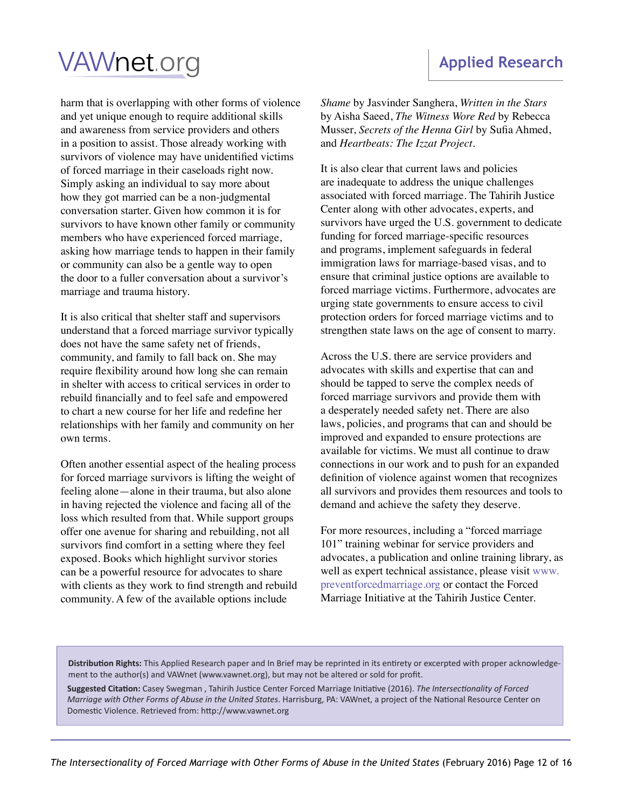### **Applied Research**

# **VAWnet**.org

harm that is overlapping with other forms of violence and yet unique enough to require additional skills and awareness from service providers and others in a position to assist. Those already working with survivors of violence may have unidentified victims of forced marriage in their caseloads right now. Simply asking an individual to say more about how they got married can be a non-judgmental conversation starter. Given how common it is for survivors to have known other family or community members who have experienced forced marriage, asking how marriage tends to happen in their family or community can also be a gentle way to open the door to a fuller conversation about a survivor's marriage and trauma history.

It is also critical that shelter staff and supervisors understand that a forced marriage survivor typically does not have the same safety net of friends, community, and family to fall back on. She may require flexibility around how long she can remain in shelter with access to critical services in order to rebuild financially and to feel safe and empowered to chart a new course for her life and redefine her relationships with her family and community on her own terms.

Often another essential aspect of the healing process for forced marriage survivors is lifting the weight of feeling alone—alone in their trauma, but also alone in having rejected the violence and facing all of the loss which resulted from that. While support groups offer one avenue for sharing and rebuilding, not all survivors find comfort in a setting where they feel exposed. Books which highlight survivor stories can be a powerful resource for advocates to share with clients as they work to find strength and rebuild community. A few of the available options include

*Shame* by Jasvinder Sanghera, *Written in the Stars* by Aisha Saeed, *The Witness Wore Red* by Rebecca Musser, *Secrets of the Henna Girl* by Sufia Ahmed, and *Heartbeats: The Izzat Project*.

It is also clear that current laws and policies are inadequate to address the unique challenges associated with forced marriage. The Tahirih Justice Center along with other advocates, experts, and survivors have urged the U.S. government to dedicate funding for forced marriage-specific resources and programs, implement safeguards in federal immigration laws for marriage-based visas, and to ensure that criminal justice options are available to forced marriage victims. Furthermore, advocates are urging state governments to ensure access to civil protection orders for forced marriage victims and to strengthen state laws on the age of consent to marry.

Across the U.S. there are service providers and advocates with skills and expertise that can and should be tapped to serve the complex needs of forced marriage survivors and provide them with a desperately needed safety net. There are also laws, policies, and programs that can and should be improved and expanded to ensure protections are available for victims. We must all continue to draw connections in our work and to push for an expanded definition of violence against women that recognizes all survivors and provides them resources and tools to demand and achieve the safety they deserve.

For more resources, including a "forced marriage 101" training webinar for service providers and advocates, a publication and online training library, as well as expert technical assistance, please visit www. preventforcedmarriage.org or contact the Forced Marriage Initiative at the Tahirih Justice Center.

**Distribution Rights:** This Applied Research paper and In Brief may be reprinted in its entirety or excerpted with proper acknowledgement to the author(s) and VAWnet (www.vawnet.org), but may not be altered or sold for profit.

**Suggested Citation:** Casey Swegman , Tahirih Justice Center Forced Marriage Initiative (2016). *The Intersectionality of Forced Marriage with Other Forms of Abuse in the United States*. Harrisburg, PA: VAWnet, a project of the National Resource Center on Domestic Violence. Retrieved from: http://www.vawnet.org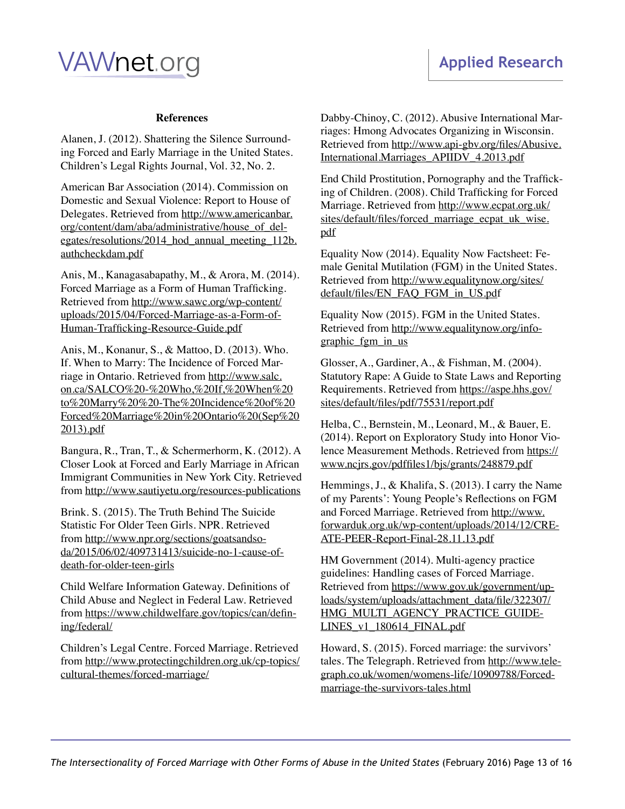#### **References**

Alanen, J. (2012). Shattering the Silence Surrounding Forced and Early Marriage in the United States. Children's Legal Rights Journal, Vol. 32, No. 2.

American Bar Association (2014). Commission on Domestic and Sexual Violence: Report to House of Delegates. Retrieved from [http://www.americanbar.](http://www.americanbar.org/content/dam/aba/administrative/house_of_delegates/resolutions/2014_hod_annual_meeting_112b.authcheckdam.pdf) [org/content/dam/aba/administrative/house\\_of\\_del](http://www.americanbar.org/content/dam/aba/administrative/house_of_delegates/resolutions/2014_hod_annual_meeting_112b.authcheckdam.pdf)egates/resolutions/2014 hod annual meeting 112b. [authcheckdam.pdf](http://www.americanbar.org/content/dam/aba/administrative/house_of_delegates/resolutions/2014_hod_annual_meeting_112b.authcheckdam.pdf)

Anis, M., Kanagasabapathy, M., & Arora, M. (2014). Forced Marriage as a Form of Human Trafficking. Retrieved from [http://www.sawc.org/wp-content/](http://www.sawc.org/wp-content/uploads/2015/04/Forced-Marriage-as-a-Form-of-Human-Trafficking-Resource-Guide.pdf) [uploads/2015/04/Forced-Marriage-as-a-Form-of-](http://www.sawc.org/wp-content/uploads/2015/04/Forced-Marriage-as-a-Form-of-Human-Trafficking-Resource-Guide.pdf)[Human-Trafficking-Resource-Guide.pdf](http://www.sawc.org/wp-content/uploads/2015/04/Forced-Marriage-as-a-Form-of-Human-Trafficking-Resource-Guide.pdf)

Anis, M., Konanur, S., & Mattoo, D. (2013). Who. If. When to Marry: The Incidence of Forced Marriage in Ontario. Retrieved from [http://www.salc.](http://www.salc.on.ca/SALCO%20-%20Who,%20If,%20When%20to%20Marry%20%20-The%20Incidence%20of%20Forced%20Marriage%20in%20Ontario%20(Sep%202013).pdf) [on.ca/SALCO%20-%20Who,%20If,%20When%20](http://www.salc.on.ca/SALCO%20-%20Who,%20If,%20When%20to%20Marry%20%20-The%20Incidence%20of%20Forced%20Marriage%20in%20Ontario%20(Sep%202013).pdf) [to%20Marry%20%20-The%20Incidence%20of%20](http://www.salc.on.ca/SALCO%20-%20Who,%20If,%20When%20to%20Marry%20%20-The%20Incidence%20of%20Forced%20Marriage%20in%20Ontario%20(Sep%202013).pdf) [Forced%20Marriage%20in%20Ontario%20\(Sep%20](http://www.salc.on.ca/SALCO%20-%20Who,%20If,%20When%20to%20Marry%20%20-The%20Incidence%20of%20Forced%20Marriage%20in%20Ontario%20(Sep%202013).pdf) [2013\).pdf](http://www.salc.on.ca/SALCO%20-%20Who,%20If,%20When%20to%20Marry%20%20-The%20Incidence%20of%20Forced%20Marriage%20in%20Ontario%20(Sep%202013).pdf)

Bangura, R., Tran, T., & Schermerhorm, K. (2012). A Closer Look at Forced and Early Marriage in African Immigrant Communities in New York City. Retrieved from <http://www.sautiyetu.org/resources-publications>

Brink. S. (2015). The Truth Behind The Suicide Statistic For Older Teen Girls. NPR. Retrieved from [http://www.npr.org/sections/goatsandso](http://www.npr.org/sections/goatsandsoda/2015/06/02/409731413/suicide-no-1-cause-of-death-for-older-teen-girls)[da/2015/06/02/409731413/suicide-no-1-cause-of](http://www.npr.org/sections/goatsandsoda/2015/06/02/409731413/suicide-no-1-cause-of-death-for-older-teen-girls)[death-for-older-teen-girls](http://www.npr.org/sections/goatsandsoda/2015/06/02/409731413/suicide-no-1-cause-of-death-for-older-teen-girls)

Child Welfare Information Gateway. Definitions of Child Abuse and Neglect in Federal Law. Retrieved from [https://www.childwelfare.gov/topics/can/defin](https://www.childwelfare.gov/topics/can/defining/federal/)[ing/federal/](https://www.childwelfare.gov/topics/can/defining/federal/)

Children's Legal Centre. Forced Marriage. Retrieved from [http://www.protectingchildren.org.uk/cp-topics/](http://www.protectingchildren.org.uk/cp-topics/cultural-themes/forced-marriage/) [cultural-themes/forced-marriage/](http://www.protectingchildren.org.uk/cp-topics/cultural-themes/forced-marriage/)

Dabby-Chinoy, C. (2012). Abusive International Marriages: Hmong Advocates Organizing in Wisconsin. Retrieved from [http://www.api-gbv.org/files/Abusive.](http://www.api-gbv.org/files/Abusive.International.Marriages_APIIDV_4.2013.pdf) [International.Marriages\\_APIIDV\\_4.2013.pdf](http://www.api-gbv.org/files/Abusive.International.Marriages_APIIDV_4.2013.pdf)

End Child Prostitution, Pornography and the Trafficking of Children. (2008). Child Trafficking for Forced Marriage. Retrieved from [http://www.ecpat.org.uk/](http://www.ecpat.org.uk/sites/default/files/forced_marriage_ecpat_uk_wise.pdf) [sites/default/files/forced\\_marriage\\_ecpat\\_uk\\_wise.](http://www.ecpat.org.uk/sites/default/files/forced_marriage_ecpat_uk_wise.pdf) [pdf](http://www.ecpat.org.uk/sites/default/files/forced_marriage_ecpat_uk_wise.pdf)

Equality Now (2014). Equality Now Factsheet: Female Genital Mutilation (FGM) in the United States. Retrieved from [http://www.equalitynow.org/sites/](http://www.equalitynow.org/sites/default/files/EN_FAQ_FGM_in_US.pdf) [default/files/EN\\_FAQ\\_FGM\\_in\\_US.pd](http://www.equalitynow.org/sites/default/files/EN_FAQ_FGM_in_US.pdf)f

Equality Now (2015). FGM in the United States. Retrieved from [http://www.equalitynow.org/info](http://www.equalitynow.org/infographic_fgm_in_us)graphic fgm in us

Glosser, A., Gardiner, A., & Fishman, M. (2004). Statutory Rape: A Guide to State Laws and Reporting Requirements. Retrieved from [https://aspe.hhs.gov/](https://aspe.hhs.gov/sites/default/files/pdf/75531/report.pdf) [sites/default/files/pdf/75531/report.pdf](https://aspe.hhs.gov/sites/default/files/pdf/75531/report.pdf)

Helba, C., Bernstein, M., Leonard, M., & Bauer, E. (2014). Report on Exploratory Study into Honor Violence Measurement Methods. Retrieved from [https://](https://www.ncjrs.gov/pdffiles1/bjs/grants/248879.pdf) [www.ncjrs.gov/pdffiles1/bjs/grants/248879.pdf](https://www.ncjrs.gov/pdffiles1/bjs/grants/248879.pdf)

Hemmings, J., & Khalifa, S. (2013). I carry the Name of my Parents': Young People's Reflections on FGM and Forced Marriage. Retrieved from [http://www.](http://www.forwarduk.org.uk/wp-content/uploads/2014/12/CREATE-PEER-Report-Final-28.11.13.pdf) [forwarduk.org.uk/wp-content/uploads/2014/12/CRE-](http://www.forwarduk.org.uk/wp-content/uploads/2014/12/CREATE-PEER-Report-Final-28.11.13.pdf)[ATE-PEER-Report-Final-28.11.13.pdf](http://www.forwarduk.org.uk/wp-content/uploads/2014/12/CREATE-PEER-Report-Final-28.11.13.pdf)

HM Government (2014). Multi-agency practice guidelines: Handling cases of Forced Marriage. Retrieved from [https://www.gov.uk/government/up](https://www.gov.uk/government/uploads/system/uploads/attachment_data/file/322307/HMG_MULTI_AGENCY_PRACTICE_GUIDELINES_v1_180614_FINAL.pdf)[loads/system/uploads/attachment\\_data/file/322307/](https://www.gov.uk/government/uploads/system/uploads/attachment_data/file/322307/HMG_MULTI_AGENCY_PRACTICE_GUIDELINES_v1_180614_FINAL.pdf) [HMG\\_MULTI\\_AGENCY\\_PRACTICE\\_GUIDE](https://www.gov.uk/government/uploads/system/uploads/attachment_data/file/322307/HMG_MULTI_AGENCY_PRACTICE_GUIDELINES_v1_180614_FINAL.pdf)-[LINES\\_v1\\_180614\\_FINAL.pdf](https://www.gov.uk/government/uploads/system/uploads/attachment_data/file/322307/HMG_MULTI_AGENCY_PRACTICE_GUIDELINES_v1_180614_FINAL.pdf)

Howard, S. (2015). Forced marriage: the survivors' tales. The Telegraph. Retrieved from [http://www.tele](http://www.telegraph.co.uk/women/womens-life/10909788/Forced-marriage-the-survivors-tales.html)[graph.co.uk/women/womens-life/10909788/Forced](http://www.telegraph.co.uk/women/womens-life/10909788/Forced-marriage-the-survivors-tales.html)[marriage-the-survivors-tales.html](http://www.telegraph.co.uk/women/womens-life/10909788/Forced-marriage-the-survivors-tales.html)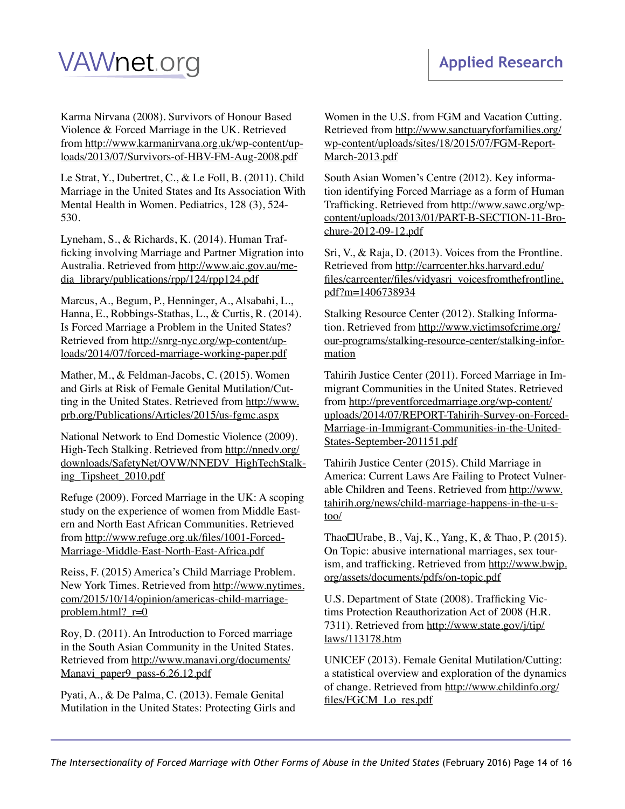Karma Nirvana (2008). Survivors of Honour Based Violence & Forced Marriage in the UK. Retrieved from [http://www.karmanirvana.org.uk/wp-content/up](http://www.karmanirvana.org.uk/wp-content/uploads/2013/07/Survivors-of-HBV-FM-Aug-2008.pdf)[loads/2013/07/Survivors-of-HBV-FM-Aug-2008.pdf](http://www.karmanirvana.org.uk/wp-content/uploads/2013/07/Survivors-of-HBV-FM-Aug-2008.pdf)

Le Strat, Y., Dubertret, C., & Le Foll, B. (2011). Child Marriage in the United States and Its Association With Mental Health in Women. Pediatrics, 128 (3), 524- 530.

Lyneham, S., & Richards, K. (2014). Human Trafficking involving Marriage and Partner Migration into Australia. Retrieved from [http://www.aic.gov.au/me](http://www.aic.gov.au/media_library/publications/rpp/124/rpp124.pdf)[dia\\_library/publications/rpp/124/rpp124.pdf](http://www.aic.gov.au/media_library/publications/rpp/124/rpp124.pdf)

Marcus, A., Begum, P., Henninger, A., Alsabahi, L., Hanna, E., Robbings-Stathas, L., & Curtis, R. (2014). Is Forced Marriage a Problem in the United States? Retrieved from [http://snrg-nyc.org/wp-content/up](http://snrg-nyc.org/wp-content/uploads/2014/07/forced-marriage-working-paper.pdf)[loads/2014/07/forced-marriage-working-paper.pdf](http://snrg-nyc.org/wp-content/uploads/2014/07/forced-marriage-working-paper.pdf)

Mather, M., & Feldman-Jacobs, C. (2015). Women and Girls at Risk of Female Genital Mutilation/Cutting in the United States. Retrieved from [http://www.](http://www.prb.org/Publications/Articles/2015/us-fgmc.aspx) [prb.org/Publications/Articles/2015/us-fgmc.aspx](http://www.prb.org/Publications/Articles/2015/us-fgmc.aspx)

National Network to End Domestic Violence (2009). High-Tech Stalking. Retrieved from [http://nnedv.org/](http://nnedv.org/downloads/SafetyNet/OVW/NNEDV_HighTechStalking_Tipsheet_2010.pdf) [downloads/SafetyNet/OVW/NNEDV\\_HighTechStalk](http://nnedv.org/downloads/SafetyNet/OVW/NNEDV_HighTechStalking_Tipsheet_2010.pdf)[ing\\_Tipsheet\\_2010.pdf](http://nnedv.org/downloads/SafetyNet/OVW/NNEDV_HighTechStalking_Tipsheet_2010.pdf)

Refuge (2009). Forced Marriage in the UK: A scoping study on the experience of women from Middle Eastern and North East African Communities. Retrieved from [http://www.refuge.org.uk/files/1001-Forced-](http://www.refuge.org.uk/files/1001-Forced-Marriage-Middle-East-North-East-Africa.pdf)[Marriage-Middle-East-North-East-Africa.pdf](http://www.refuge.org.uk/files/1001-Forced-Marriage-Middle-East-North-East-Africa.pdf)

Reiss, F. (2015) America's Child Marriage Problem. New York Times. Retrieved from [http://www.nytimes.](http://www.nytimes.com/2015/10/14/opinion/americas-child-marriage-problem.html?_r=0) [com/2015/10/14/opinion/americas-child-marriage](http://www.nytimes.com/2015/10/14/opinion/americas-child-marriage-problem.html?_r=0)problem.html?  $r=0$ 

Roy, D. (2011). An Introduction to Forced marriage in the South Asian Community in the United States. Retrieved from [http://www.manavi.org/documents/](http://www.manavi.org/documents/Manavi_paper9_pass-6.26.12.pdf) [Manavi\\_paper9\\_pass-6.26.12.pdf](http://www.manavi.org/documents/Manavi_paper9_pass-6.26.12.pdf)

Pyati, A., & De Palma, C. (2013). Female Genital Mutilation in the United States: Protecting Girls and

Women in the U.S. from FGM and Vacation Cutting. Retrieved from [http://www.sanctuaryforfamilies.org/](http://www.sanctuaryforfamilies.org/wp-content/uploads/sites/18/2015/07/FGM-Report-March-2013.pdf) [wp-content/uploads/sites/18/2015/07/FGM-Report-](http://www.sanctuaryforfamilies.org/wp-content/uploads/sites/18/2015/07/FGM-Report-March-2013.pdf)[March-2013.pdf](http://www.sanctuaryforfamilies.org/wp-content/uploads/sites/18/2015/07/FGM-Report-March-2013.pdf)

South Asian Women's Centre (2012). Key information identifying Forced Marriage as a form of Human Trafficking. Retrieved from [http://www.sawc.org/wp](http://www.sawc.org/wp-content/uploads/2013/01/PART-B-SECTION-11-Brochure-2012-09-12.pdf)[content/uploads/2013/01/PART-B-SECTION-11-Bro](http://www.sawc.org/wp-content/uploads/2013/01/PART-B-SECTION-11-Brochure-2012-09-12.pdf)[chure-2012-09-12.pdf](http://www.sawc.org/wp-content/uploads/2013/01/PART-B-SECTION-11-Brochure-2012-09-12.pdf)

Sri, V., & Raja, D. (2013). Voices from the Frontline. Retrieved from [http://carrcenter.hks.harvard.edu/](http://carrcenter.hks.harvard.edu/files/carrcenter/files/vidyasri_voicesfromthefrontline.pdf?m=1406738934) [files/carrcenter/files/vidyasri\\_voicesfromthefrontline.](http://carrcenter.hks.harvard.edu/files/carrcenter/files/vidyasri_voicesfromthefrontline.pdf?m=1406738934) [pdf?m=1406738934](http://carrcenter.hks.harvard.edu/files/carrcenter/files/vidyasri_voicesfromthefrontline.pdf?m=1406738934)

Stalking Resource Center (2012). Stalking Information. Retrieved from [http://www.victimsofcrime.org/](http://www.victimsofcrime.org/our-programs/stalking-resource-center/stalking-information) [our-programs/stalking-resource-center/stalking-infor](http://www.victimsofcrime.org/our-programs/stalking-resource-center/stalking-information)[mation](http://www.victimsofcrime.org/our-programs/stalking-resource-center/stalking-information)

Tahirih Justice Center (2011). Forced Marriage in Immigrant Communities in the United States. Retrieved from [http://preventforcedmarriage.org/wp-content/](http://preventforcedmarriage.org/wp-content/uploads/2014/07/REPORT-Tahirih-Survey-on-Forced-Marriage-in-Immigrant-Communities-in-the-United-States-September-201151.pdf) [uploads/2014/07/REPORT-Tahirih-Survey-on-Forced-](http://preventforcedmarriage.org/wp-content/uploads/2014/07/REPORT-Tahirih-Survey-on-Forced-Marriage-in-Immigrant-Communities-in-the-United-States-September-201151.pdf)[Marriage-in-Immigrant-Communities-in-the-United-](http://preventforcedmarriage.org/wp-content/uploads/2014/07/REPORT-Tahirih-Survey-on-Forced-Marriage-in-Immigrant-Communities-in-the-United-States-September-201151.pdf)[States-September-201151.pdf](http://preventforcedmarriage.org/wp-content/uploads/2014/07/REPORT-Tahirih-Survey-on-Forced-Marriage-in-Immigrant-Communities-in-the-United-States-September-201151.pdf)

Tahirih Justice Center (2015). Child Marriage in America: Current Laws Are Failing to Protect Vulnerable Children and Teens. Retrieved from [http://www.](http://www.tahirih.org/news/child-marriage-happens-in-the-u-s-too/) [tahirih.org/news/child-marriage-happens-in-the-u-s](http://www.tahirih.org/news/child-marriage-happens-in-the-u-s-too/)[too/](http://www.tahirih.org/news/child-marriage-happens-in-the-u-s-too/)

Thao $\Box$ Urabe, B., Vaj, K., Yang, K., & Thao, P. (2015). On Topic: abusive international marriages, sex tourism, and trafficking. Retrieved from [http://www.bwjp.](http://www.bwjp.org/assets/documents/pdfs/on-topic.pdf) [org/assets/documents/pdfs/on-topic.pdf](http://www.bwjp.org/assets/documents/pdfs/on-topic.pdf)

U.S. Department of State (2008). Trafficking Victims Protection Reauthorization Act of 2008 (H.R. 7311). Retrieved from [http://www.state.gov/j/tip/](http://www.state.gov/j/tip/laws/113178.htm) [laws/113178.htm](http://www.state.gov/j/tip/laws/113178.htm)

UNICEF (2013). Female Genital Mutilation/Cutting: a statistical overview and exploration of the dynamics of change. Retrieved from [http://www.childinfo.org/](http://www.childinfo.org/files/FGCM_Lo_res.pdf) [files/FGCM\\_Lo\\_res.pdf](http://www.childinfo.org/files/FGCM_Lo_res.pdf)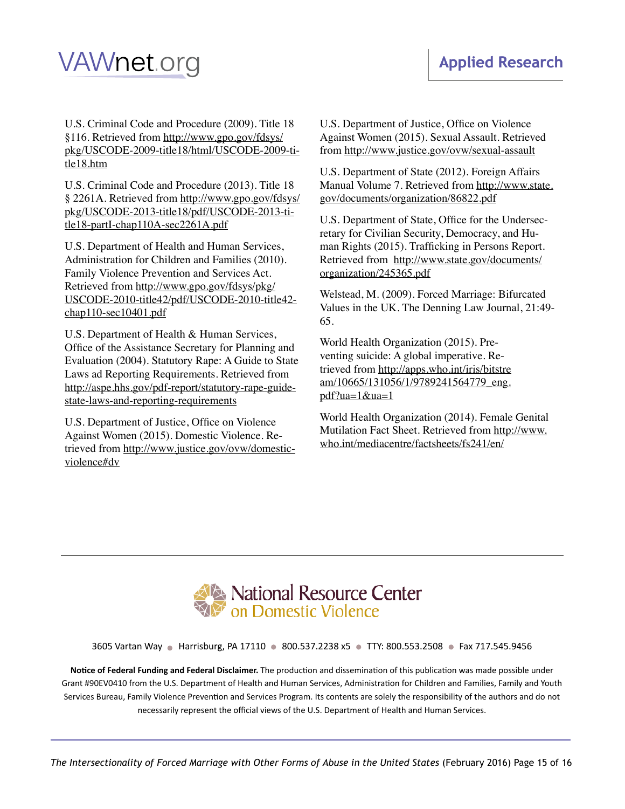U.S. Criminal Code and Procedure (2009). Title 18 §116. Retrieved from [http://www.gpo.gov/fdsys/](http://www.gpo.gov/fdsys/pkg/USCODE-2009-title18/html/USCODE-2009-title18.htm) [pkg/USCODE-2009-title18/html/USCODE-2009-ti](http://www.gpo.gov/fdsys/pkg/USCODE-2009-title18/html/USCODE-2009-title18.htm)[tle18.htm](http://www.gpo.gov/fdsys/pkg/USCODE-2009-title18/html/USCODE-2009-title18.htm)

U.S. Criminal Code and Procedure (2013). Title 18 § 2261A. Retrieved from [http://www.gpo.gov/fdsys/](http://www.gpo.gov/fdsys/pkg/USCODE-2013-title18/pdf/USCODE-2013-title18-partI-chap110A-sec2261A.pdf) [pkg/USCODE-2013-title18/pdf/USCODE-2013-ti](http://www.gpo.gov/fdsys/pkg/USCODE-2013-title18/pdf/USCODE-2013-title18-partI-chap110A-sec2261A.pdf)[tle18-partI-chap110A-sec2261A.pdf](http://www.gpo.gov/fdsys/pkg/USCODE-2013-title18/pdf/USCODE-2013-title18-partI-chap110A-sec2261A.pdf)

U.S. Department of Health and Human Services, Administration for Children and Families (2010). Family Violence Prevention and Services Act. Retrieved from [http://www.gpo.gov/fdsys/pkg/](http://www.gpo.gov/fdsys/pkg/USCODE-2010-title42/pdf/USCODE-2010-title42-chap110-sec10401.pdf) [USCODE-2010-title42/pdf/USCODE-2010-title42](http://www.gpo.gov/fdsys/pkg/USCODE-2010-title42/pdf/USCODE-2010-title42-chap110-sec10401.pdf) [chap110-sec10401.pdf](http://www.gpo.gov/fdsys/pkg/USCODE-2010-title42/pdf/USCODE-2010-title42-chap110-sec10401.pdf)

U.S. Department of Health & Human Services, Office of the Assistance Secretary for Planning and Evaluation (2004). Statutory Rape: A Guide to State Laws ad Reporting Requirements. Retrieved from [http://aspe.hhs.gov/pdf-report/statutory-rape-guide](http://aspe.hhs.gov/pdf-report/statutory-rape-guide-state-laws-and-reporting-requirements)[state-laws-and-reporting-requirements](http://aspe.hhs.gov/pdf-report/statutory-rape-guide-state-laws-and-reporting-requirements)

U.S. Department of Justice, Office on Violence Against Women (2015). Domestic Violence. Retrieved from [http://www.justice.gov/ovw/domestic](http://www.justice.gov/ovw/domestic-violence#dv)[violence#dv](http://www.justice.gov/ovw/domestic-violence#dv)

U.S. Department of Justice, Office on Violence Against Women (2015). Sexual Assault. Retrieved from <http://www.justice.gov/ovw/sexual-assault>

U.S. Department of State (2012). Foreign Affairs Manual Volume 7. Retrieved from [http://www.state.](http://www.state.gov/documents/organization/86822.pdf) [gov/documents/organization/86822.pdf](http://www.state.gov/documents/organization/86822.pdf)

U.S. Department of State, Office for the Undersecretary for Civilian Security, Democracy, and Human Rights (2015). Trafficking in Persons Report. Retrieved from [http://www.state.gov/documents/](http://www.state.gov/documents/organization/245365.pdf) [organization/245365.pdf](http://www.state.gov/documents/organization/245365.pdf)

Welstead, M. (2009). Forced Marriage: Bifurcated Values in the UK. The Denning Law Journal, 21:49- 65.

World Health Organization (2015). Preventing suicide: A global imperative. Retrieved from [http://apps.who.int/iris/bitstre](http://apps.who.int/iris/bitstream/10665/131056/1/9789241564779_eng.pdf?ua=1&ua=1) [am/10665/131056/1/9789241564779\\_eng.](http://apps.who.int/iris/bitstream/10665/131056/1/9789241564779_eng.pdf?ua=1&ua=1) [pdf?ua=1&ua=1](http://apps.who.int/iris/bitstream/10665/131056/1/9789241564779_eng.pdf?ua=1&ua=1)

World Health Organization (2014). Female Genital Mutilation Fact Sheet. Retrieved from [http://www.](http://www.who.int/mediacentre/factsheets/fs241/en/) [who.int/mediacentre/factsheets/fs241/en/](http://www.who.int/mediacentre/factsheets/fs241/en/)



3605 Vartan Way · Harrisburg, PA 17110 · 800.537.2238 x5 · TTY: 800.553.2508 · Fax 717.545.9456

**Notice of Federal Funding and Federal Disclaimer.** The production and dissemination of this publication was made possible under Grant #90EV0410 from the U.S. Department of Health and Human Services, Administration for Children and Families, Family and Youth Services Bureau, Family Violence Prevention and Services Program. Its contents are solely the responsibility of the authors and do not necessarily represent the official views of the U.S. Department of Health and Human Services.